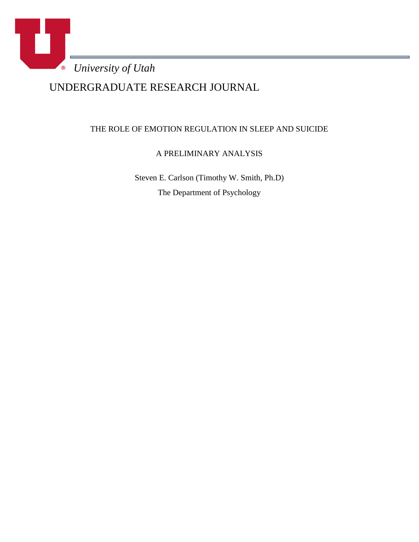

UNDERGRADUATE RESEARCH JOURNAL

# THE ROLE OF EMOTION REGULATION IN SLEEP AND SUICIDE

A PRELIMINARY ANALYSIS

Steven E. Carlson (Timothy W. Smith, Ph.D) The Department of Psychology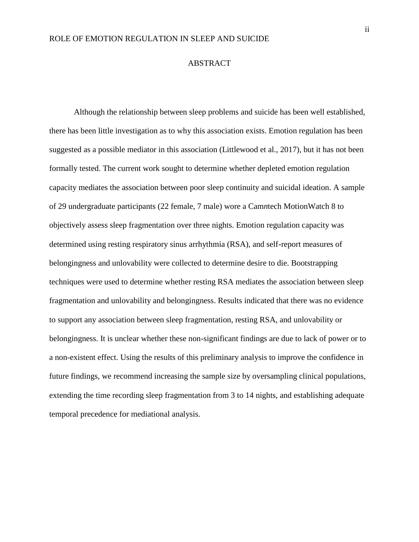#### ABSTRACT

Although the relationship between sleep problems and suicide has been well established, there has been little investigation as to why this association exists. Emotion regulation has been suggested as a possible mediator in this association (Littlewood et al., 2017), but it has not been formally tested. The current work sought to determine whether depleted emotion regulation capacity mediates the association between poor sleep continuity and suicidal ideation. A sample of 29 undergraduate participants (22 female, 7 male) wore a Cam*n*tech MotionWatch 8 to objectively assess sleep fragmentation over three nights. Emotion regulation capacity was determined using resting respiratory sinus arrhythmia (RSA), and self-report measures of belongingness and unlovability were collected to determine desire to die. Bootstrapping techniques were used to determine whether resting RSA mediates the association between sleep fragmentation and unlovability and belongingness. Results indicated that there was no evidence to support any association between sleep fragmentation, resting RSA, and unlovability or belongingness. It is unclear whether these non-significant findings are due to lack of power or to a non-existent effect. Using the results of this preliminary analysis to improve the confidence in future findings, we recommend increasing the sample size by oversampling clinical populations, extending the time recording sleep fragmentation from 3 to 14 nights, and establishing adequate temporal precedence for mediational analysis.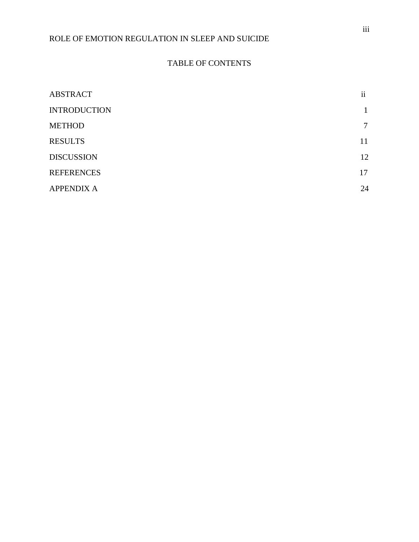## TABLE OF CONTENTS

| <b>ABSTRACT</b>     | <br>11 |
|---------------------|--------|
| <b>INTRODUCTION</b> |        |
| <b>METHOD</b>       | 7      |
| <b>RESULTS</b>      | 11     |
| <b>DISCUSSION</b>   | 12     |
| <b>REFERENCES</b>   | 17     |
| <b>APPENDIX A</b>   | 24     |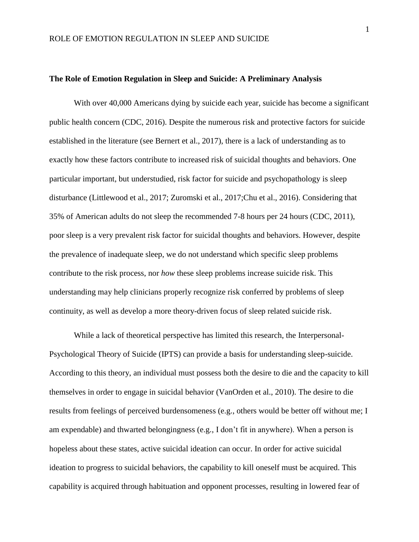## **The Role of Emotion Regulation in Sleep and Suicide: A Preliminary Analysis**

With over 40,000 Americans dying by suicide each year, suicide has become a significant public health concern (CDC, 2016). Despite the numerous risk and protective factors for suicide established in the literature (see Bernert et al., 2017), there is a lack of understanding as to exactly how these factors contribute to increased risk of suicidal thoughts and behaviors. One particular important, but understudied, risk factor for suicide and psychopathology is sleep disturbance (Littlewood et al., 2017; Zuromski et al., 2017;Chu et al., 2016). Considering that 35% of American adults do not sleep the recommended 7-8 hours per 24 hours (CDC, 2011), poor sleep is a very prevalent risk factor for suicidal thoughts and behaviors. However, despite the prevalence of inadequate sleep, we do not understand which specific sleep problems contribute to the risk process, nor *how* these sleep problems increase suicide risk. This understanding may help clinicians properly recognize risk conferred by problems of sleep continuity, as well as develop a more theory-driven focus of sleep related suicide risk.

While a lack of theoretical perspective has limited this research, the Interpersonal-Psychological Theory of Suicide (IPTS) can provide a basis for understanding sleep-suicide. According to this theory, an individual must possess both the desire to die and the capacity to kill themselves in order to engage in suicidal behavior (VanOrden et al., 2010). The desire to die results from feelings of perceived burdensomeness (e.g., others would be better off without me; I am expendable) and thwarted belongingness (e.g., I don't fit in anywhere). When a person is hopeless about these states, active suicidal ideation can occur. In order for active suicidal ideation to progress to suicidal behaviors, the capability to kill oneself must be acquired. This capability is acquired through habituation and opponent processes, resulting in lowered fear of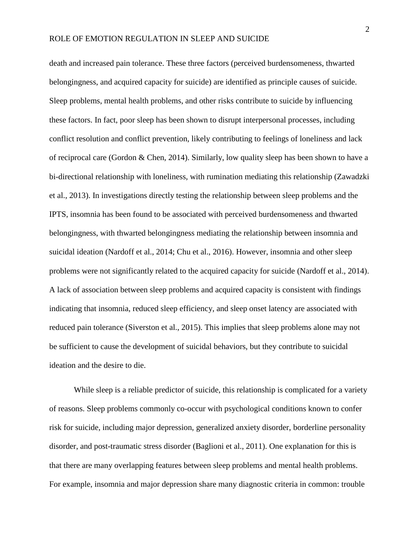death and increased pain tolerance. These three factors (perceived burdensomeness, thwarted belongingness, and acquired capacity for suicide) are identified as principle causes of suicide. Sleep problems, mental health problems, and other risks contribute to suicide by influencing these factors. In fact, poor sleep has been shown to disrupt interpersonal processes, including conflict resolution and conflict prevention, likely contributing to feelings of loneliness and lack of reciprocal care (Gordon & Chen, 2014). Similarly, low quality sleep has been shown to have a bi-directional relationship with loneliness, with rumination mediating this relationship (Zawadzki et al., 2013). In investigations directly testing the relationship between sleep problems and the IPTS, insomnia has been found to be associated with perceived burdensomeness and thwarted belongingness, with thwarted belongingness mediating the relationship between insomnia and suicidal ideation (Nardoff et al., 2014; Chu et al., 2016). However, insomnia and other sleep problems were not significantly related to the acquired capacity for suicide (Nardoff et al., 2014). A lack of association between sleep problems and acquired capacity is consistent with findings indicating that insomnia, reduced sleep efficiency, and sleep onset latency are associated with reduced pain tolerance (Siverston et al., 2015). This implies that sleep problems alone may not be sufficient to cause the development of suicidal behaviors, but they contribute to suicidal ideation and the desire to die.

While sleep is a reliable predictor of suicide, this relationship is complicated for a variety of reasons. Sleep problems commonly co-occur with psychological conditions known to confer risk for suicide, including major depression, generalized anxiety disorder, borderline personality disorder, and post-traumatic stress disorder (Baglioni et al., 2011). One explanation for this is that there are many overlapping features between sleep problems and mental health problems. For example, insomnia and major depression share many diagnostic criteria in common: trouble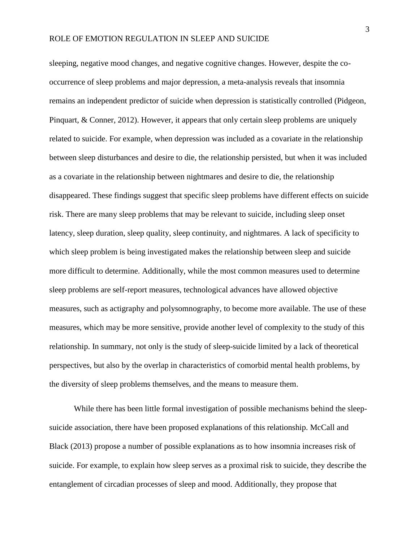sleeping, negative mood changes, and negative cognitive changes. However, despite the cooccurrence of sleep problems and major depression, a meta-analysis reveals that insomnia remains an independent predictor of suicide when depression is statistically controlled (Pidgeon, Pinquart, & Conner, 2012). However, it appears that only certain sleep problems are uniquely related to suicide. For example, when depression was included as a covariate in the relationship between sleep disturbances and desire to die, the relationship persisted, but when it was included as a covariate in the relationship between nightmares and desire to die, the relationship disappeared. These findings suggest that specific sleep problems have different effects on suicide risk. There are many sleep problems that may be relevant to suicide, including sleep onset latency, sleep duration, sleep quality, sleep continuity, and nightmares. A lack of specificity to which sleep problem is being investigated makes the relationship between sleep and suicide more difficult to determine. Additionally, while the most common measures used to determine sleep problems are self-report measures, technological advances have allowed objective measures, such as actigraphy and polysomnography, to become more available. The use of these measures, which may be more sensitive, provide another level of complexity to the study of this relationship. In summary, not only is the study of sleep-suicide limited by a lack of theoretical perspectives, but also by the overlap in characteristics of comorbid mental health problems, by the diversity of sleep problems themselves, and the means to measure them.

While there has been little formal investigation of possible mechanisms behind the sleepsuicide association, there have been proposed explanations of this relationship. McCall and Black (2013) propose a number of possible explanations as to how insomnia increases risk of suicide. For example, to explain how sleep serves as a proximal risk to suicide, they describe the entanglement of circadian processes of sleep and mood. Additionally, they propose that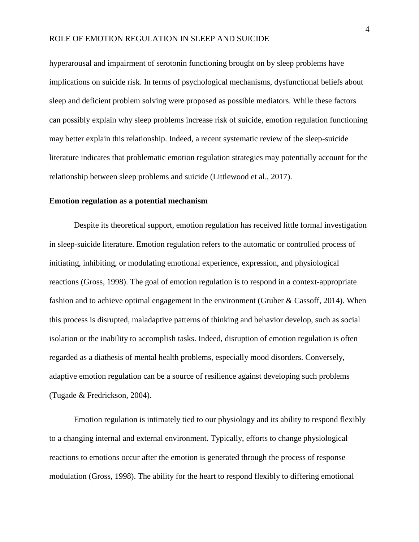hyperarousal and impairment of serotonin functioning brought on by sleep problems have implications on suicide risk. In terms of psychological mechanisms, dysfunctional beliefs about sleep and deficient problem solving were proposed as possible mediators. While these factors can possibly explain why sleep problems increase risk of suicide, emotion regulation functioning may better explain this relationship. Indeed, a recent systematic review of the sleep-suicide literature indicates that problematic emotion regulation strategies may potentially account for the relationship between sleep problems and suicide (Littlewood et al., 2017).

### **Emotion regulation as a potential mechanism**

Despite its theoretical support, emotion regulation has received little formal investigation in sleep-suicide literature. Emotion regulation refers to the automatic or controlled process of initiating, inhibiting, or modulating emotional experience, expression, and physiological reactions (Gross, 1998). The goal of emotion regulation is to respond in a context-appropriate fashion and to achieve optimal engagement in the environment (Gruber & Cassoff, 2014). When this process is disrupted, maladaptive patterns of thinking and behavior develop, such as social isolation or the inability to accomplish tasks. Indeed, disruption of emotion regulation is often regarded as a diathesis of mental health problems, especially mood disorders. Conversely, adaptive emotion regulation can be a source of resilience against developing such problems (Tugade & Fredrickson, 2004).

Emotion regulation is intimately tied to our physiology and its ability to respond flexibly to a changing internal and external environment. Typically, efforts to change physiological reactions to emotions occur after the emotion is generated through the process of response modulation (Gross, 1998). The ability for the heart to respond flexibly to differing emotional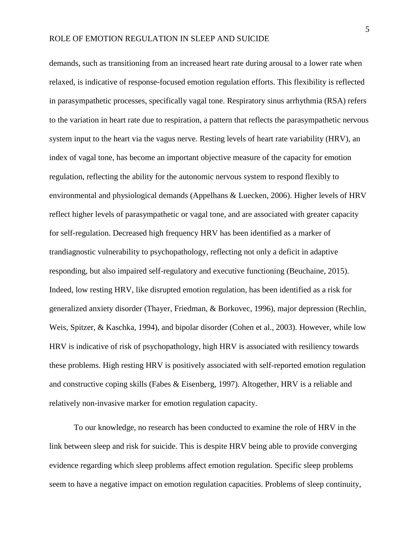demands, such as transitioning from an increased heart rate during arousal to a lower rate when relaxed, is indicative of response-focused emotion regulation efforts. This flexibility is reflected in parasympathetic processes, specifically vagal tone. Respiratory sinus arrhythmia (RSA) refers to the variation in heart rate due to respiration, a pattern that reflects the parasympathetic nervous system input to the heart via the vagus nerve. Resting levels of heart rate variability (HRV), an index of vagal tone, has become an important objective measure of the capacity for emotion regulation, reflecting the ability for the autonomic nervous system to respond flexibly to environmental and physiological demands (Appelhans & Luecken, 2006). Higher levels of HRV reflect higher levels of parasympathetic or vagal tone, and are associated with greater capacity for self-regulation. Decreased high frequency HRV has been identified as a marker of trandiagnostic vulnerability to psychopathology, reflecting not only a deficit in adaptive responding, but also impaired self-regulatory and executive functioning (Beuchaine, 2015). Indeed, low resting HRV, like disrupted emotion regulation, has been identified as a risk for generalized anxiety disorder (Thayer, Friedman, & Borkovec, 1996), major depression (Rechlin, Weis, Spitzer, & Kaschka, 1994), and bipolar disorder (Cohen et al., 2003). However, while low HRV is indicative of risk of psychopathology, high HRV is associated with resiliency towards these problems. High resting HRV is positively associated with self-reported emotion regulation and constructive coping skills (Fabes & Eisenberg, 1997). Altogether, HRV is a reliable and relatively non-invasive marker for emotion regulation capacity.

To our knowledge, no research has been conducted to examine the role of HRV in the link between sleep and risk for suicide. This is despite HRV being able to provide converging evidence regarding which sleep problems affect emotion regulation. Specific sleep problems seem to have a negative impact on emotion regulation capacities. Problems of sleep continuity,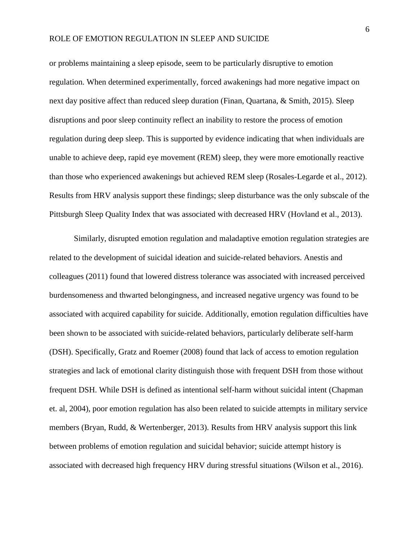or problems maintaining a sleep episode, seem to be particularly disruptive to emotion regulation. When determined experimentally, forced awakenings had more negative impact on next day positive affect than reduced sleep duration (Finan, Quartana, & Smith, 2015). Sleep disruptions and poor sleep continuity reflect an inability to restore the process of emotion regulation during deep sleep. This is supported by evidence indicating that when individuals are unable to achieve deep, rapid eye movement (REM) sleep, they were more emotionally reactive than those who experienced awakenings but achieved REM sleep (Rosales-Legarde et al., 2012). Results from HRV analysis support these findings; sleep disturbance was the only subscale of the Pittsburgh Sleep Quality Index that was associated with decreased HRV (Hovland et al., 2013).

Similarly, disrupted emotion regulation and maladaptive emotion regulation strategies are related to the development of suicidal ideation and suicide-related behaviors. Anestis and colleagues (2011) found that lowered distress tolerance was associated with increased perceived burdensomeness and thwarted belongingness, and increased negative urgency was found to be associated with acquired capability for suicide. Additionally, emotion regulation difficulties have been shown to be associated with suicide-related behaviors, particularly deliberate self-harm (DSH). Specifically, Gratz and Roemer (2008) found that lack of access to emotion regulation strategies and lack of emotional clarity distinguish those with frequent DSH from those without frequent DSH. While DSH is defined as intentional self-harm without suicidal intent (Chapman et. al, 2004), poor emotion regulation has also been related to suicide attempts in military service members (Bryan, Rudd, & Wertenberger, 2013). Results from HRV analysis support this link between problems of emotion regulation and suicidal behavior; suicide attempt history is associated with decreased high frequency HRV during stressful situations (Wilson et al., 2016).

6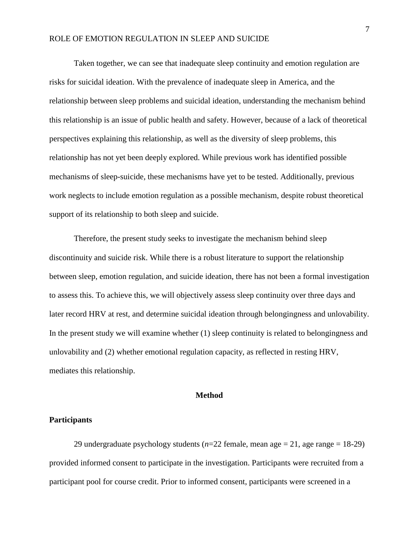Taken together, we can see that inadequate sleep continuity and emotion regulation are risks for suicidal ideation. With the prevalence of inadequate sleep in America, and the relationship between sleep problems and suicidal ideation, understanding the mechanism behind this relationship is an issue of public health and safety. However, because of a lack of theoretical perspectives explaining this relationship, as well as the diversity of sleep problems, this relationship has not yet been deeply explored. While previous work has identified possible mechanisms of sleep-suicide, these mechanisms have yet to be tested. Additionally, previous work neglects to include emotion regulation as a possible mechanism, despite robust theoretical support of its relationship to both sleep and suicide.

Therefore, the present study seeks to investigate the mechanism behind sleep discontinuity and suicide risk. While there is a robust literature to support the relationship between sleep, emotion regulation, and suicide ideation, there has not been a formal investigation to assess this. To achieve this, we will objectively assess sleep continuity over three days and later record HRV at rest, and determine suicidal ideation through belongingness and unlovability. In the present study we will examine whether (1) sleep continuity is related to belongingness and unlovability and (2) whether emotional regulation capacity, as reflected in resting HRV, mediates this relationship.

## **Method**

## **Participants**

29 undergraduate psychology students (*n*=22 female, mean age = 21, age range = 18-29) provided informed consent to participate in the investigation. Participants were recruited from a participant pool for course credit. Prior to informed consent, participants were screened in a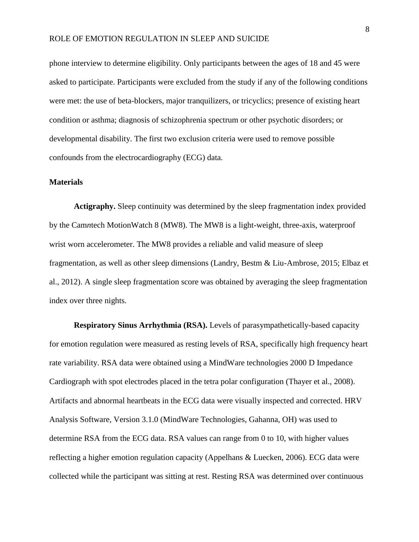phone interview to determine eligibility. Only participants between the ages of 18 and 45 were asked to participate. Participants were excluded from the study if any of the following conditions were met: the use of beta-blockers, major tranquilizers, or tricyclics; presence of existing heart condition or asthma; diagnosis of schizophrenia spectrum or other psychotic disorders; or developmental disability. The first two exclusion criteria were used to remove possible confounds from the electrocardiography (ECG) data.

## **Materials**

**Actigraphy.** Sleep continuity was determined by the sleep fragmentation index provided by the Cam*n*tech MotionWatch 8 (MW8). The MW8 is a light-weight, three-axis, waterproof wrist worn accelerometer. The MW8 provides a reliable and valid measure of sleep fragmentation, as well as other sleep dimensions (Landry, Bestm & Liu-Ambrose, 2015; Elbaz et al., 2012). A single sleep fragmentation score was obtained by averaging the sleep fragmentation index over three nights.

**Respiratory Sinus Arrhythmia (RSA).** Levels of parasympathetically-based capacity for emotion regulation were measured as resting levels of RSA, specifically high frequency heart rate variability. RSA data were obtained using a MindWare technologies 2000 D Impedance Cardiograph with spot electrodes placed in the tetra polar configuration (Thayer et al., 2008). Artifacts and abnormal heartbeats in the ECG data were visually inspected and corrected. HRV Analysis Software, Version 3.1.0 (MindWare Technologies, Gahanna, OH) was used to determine RSA from the ECG data. RSA values can range from 0 to 10, with higher values reflecting a higher emotion regulation capacity (Appelhans & Luecken, 2006). ECG data were collected while the participant was sitting at rest. Resting RSA was determined over continuous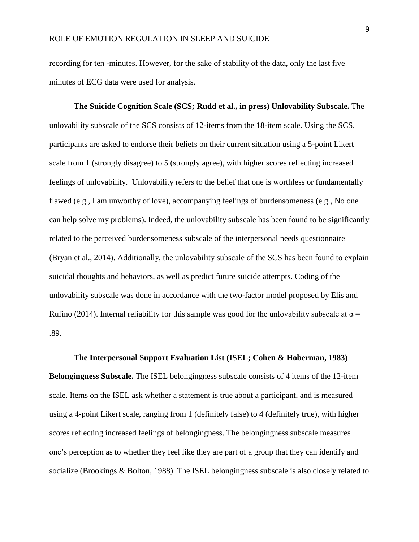recording for ten -minutes. However, for the sake of stability of the data, only the last five minutes of ECG data were used for analysis.

**The Suicide Cognition Scale (SCS; Rudd et al., in press) Unlovability Subscale.** The unlovability subscale of the SCS consists of 12-items from the 18-item scale. Using the SCS, participants are asked to endorse their beliefs on their current situation using a 5-point Likert scale from 1 (strongly disagree) to 5 (strongly agree), with higher scores reflecting increased feelings of unlovability. Unlovability refers to the belief that one is worthless or fundamentally flawed (e.g., I am unworthy of love), accompanying feelings of burdensomeness (e.g., No one can help solve my problems). Indeed, the unlovability subscale has been found to be significantly related to the perceived burdensomeness subscale of the interpersonal needs questionnaire (Bryan et al., 2014). Additionally, the unlovability subscale of the SCS has been found to explain suicidal thoughts and behaviors, as well as predict future suicide attempts. Coding of the unlovability subscale was done in accordance with the two-factor model proposed by Elis and Rufino (2014). Internal reliability for this sample was good for the unlovability subscale at  $\alpha$  = .89.

**The Interpersonal Support Evaluation List (ISEL; Cohen & Hoberman, 1983) Belongingness Subscale.** The ISEL belongingness subscale consists of 4 items of the 12-item scale. Items on the ISEL ask whether a statement is true about a participant, and is measured using a 4-point Likert scale, ranging from 1 (definitely false) to 4 (definitely true), with higher scores reflecting increased feelings of belongingness. The belongingness subscale measures one's perception as to whether they feel like they are part of a group that they can identify and socialize (Brookings & Bolton, 1988). The ISEL belongingness subscale is also closely related to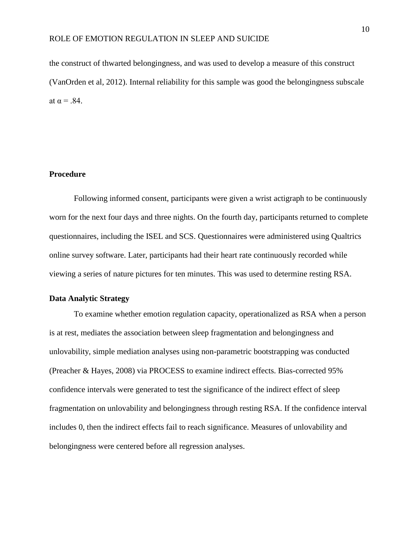the construct of thwarted belongingness, and was used to develop a measure of this construct (VanOrden et al, 2012). Internal reliability for this sample was good the belongingness subscale at  $\alpha = .84$ .

## **Procedure**

Following informed consent, participants were given a wrist actigraph to be continuously worn for the next four days and three nights. On the fourth day, participants returned to complete questionnaires, including the ISEL and SCS. Questionnaires were administered using Qualtrics online survey software. Later, participants had their heart rate continuously recorded while viewing a series of nature pictures for ten minutes. This was used to determine resting RSA.

### **Data Analytic Strategy**

To examine whether emotion regulation capacity, operationalized as RSA when a person is at rest, mediates the association between sleep fragmentation and belongingness and unlovability, simple mediation analyses using non-parametric bootstrapping was conducted (Preacher & Hayes, 2008) via PROCESS to examine indirect effects. Bias-corrected 95% confidence intervals were generated to test the significance of the indirect effect of sleep fragmentation on unlovability and belongingness through resting RSA. If the confidence interval includes 0, then the indirect effects fail to reach significance. Measures of unlovability and belongingness were centered before all regression analyses.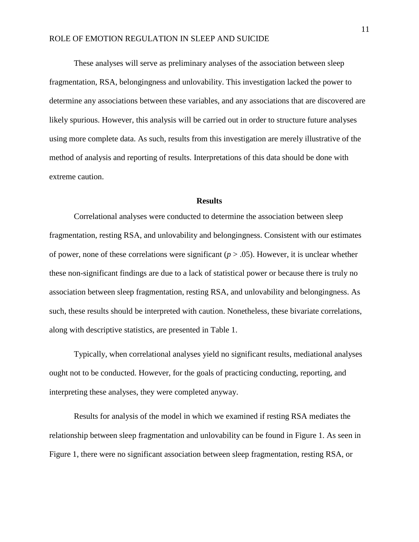These analyses will serve as preliminary analyses of the association between sleep fragmentation, RSA, belongingness and unlovability. This investigation lacked the power to determine any associations between these variables, and any associations that are discovered are likely spurious. However, this analysis will be carried out in order to structure future analyses using more complete data. As such, results from this investigation are merely illustrative of the method of analysis and reporting of results. Interpretations of this data should be done with extreme caution.

#### **Results**

Correlational analyses were conducted to determine the association between sleep fragmentation, resting RSA, and unlovability and belongingness. Consistent with our estimates of power, none of these correlations were significant  $(p > .05)$ . However, it is unclear whether these non-significant findings are due to a lack of statistical power or because there is truly no association between sleep fragmentation, resting RSA, and unlovability and belongingness. As such, these results should be interpreted with caution. Nonetheless, these bivariate correlations, along with descriptive statistics, are presented in Table 1.

Typically, when correlational analyses yield no significant results, mediational analyses ought not to be conducted. However, for the goals of practicing conducting, reporting, and interpreting these analyses, they were completed anyway.

Results for analysis of the model in which we examined if resting RSA mediates the relationship between sleep fragmentation and unlovability can be found in Figure 1. As seen in Figure 1, there were no significant association between sleep fragmentation, resting RSA, or

11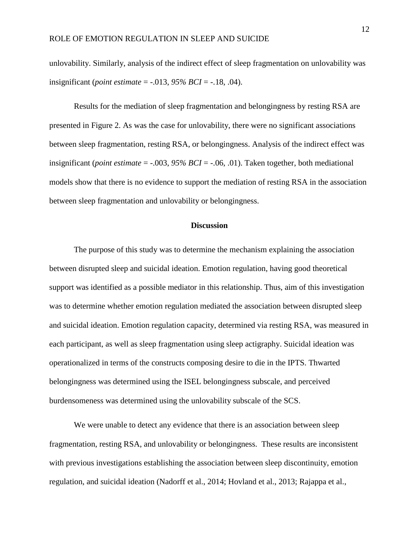unlovability. Similarly, analysis of the indirect effect of sleep fragmentation on unlovability was insignificant (*point estimate* = -.013, *95% BCI* = -.18, .04).

Results for the mediation of sleep fragmentation and belongingness by resting RSA are presented in Figure 2. As was the case for unlovability, there were no significant associations between sleep fragmentation, resting RSA, or belongingness. Analysis of the indirect effect was insignificant (*point estimate* = -.003, *95% BCI* = -.06, .01). Taken together, both mediational models show that there is no evidence to support the mediation of resting RSA in the association between sleep fragmentation and unlovability or belongingness.

## **Discussion**

The purpose of this study was to determine the mechanism explaining the association between disrupted sleep and suicidal ideation. Emotion regulation, having good theoretical support was identified as a possible mediator in this relationship. Thus, aim of this investigation was to determine whether emotion regulation mediated the association between disrupted sleep and suicidal ideation. Emotion regulation capacity, determined via resting RSA, was measured in each participant, as well as sleep fragmentation using sleep actigraphy. Suicidal ideation was operationalized in terms of the constructs composing desire to die in the IPTS. Thwarted belongingness was determined using the ISEL belongingness subscale, and perceived burdensomeness was determined using the unlovability subscale of the SCS.

We were unable to detect any evidence that there is an association between sleep fragmentation, resting RSA, and unlovability or belongingness. These results are inconsistent with previous investigations establishing the association between sleep discontinuity, emotion regulation, and suicidal ideation (Nadorff et al., 2014; Hovland et al., 2013; Rajappa et al.,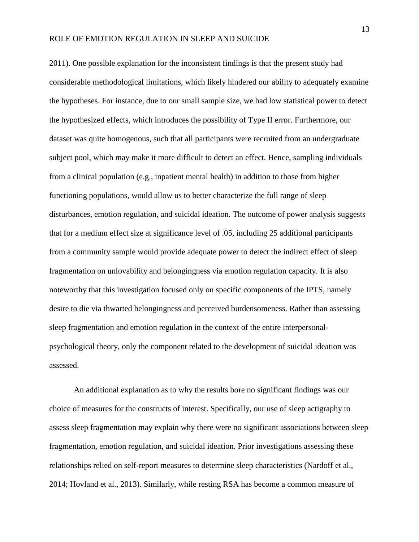2011). One possible explanation for the inconsistent findings is that the present study had considerable methodological limitations, which likely hindered our ability to adequately examine the hypotheses. For instance, due to our small sample size, we had low statistical power to detect the hypothesized effects, which introduces the possibility of Type II error. Furthermore, our dataset was quite homogenous, such that all participants were recruited from an undergraduate subject pool, which may make it more difficult to detect an effect. Hence, sampling individuals from a clinical population (e.g., inpatient mental health) in addition to those from higher functioning populations, would allow us to better characterize the full range of sleep disturbances, emotion regulation, and suicidal ideation. The outcome of power analysis suggests that for a medium effect size at significance level of .05, including 25 additional participants from a community sample would provide adequate power to detect the indirect effect of sleep fragmentation on unlovability and belongingness via emotion regulation capacity. It is also noteworthy that this investigation focused only on specific components of the IPTS, namely desire to die via thwarted belongingness and perceived burdensomeness. Rather than assessing sleep fragmentation and emotion regulation in the context of the entire interpersonalpsychological theory, only the component related to the development of suicidal ideation was assessed.

An additional explanation as to why the results bore no significant findings was our choice of measures for the constructs of interest. Specifically, our use of sleep actigraphy to assess sleep fragmentation may explain why there were no significant associations between sleep fragmentation, emotion regulation, and suicidal ideation. Prior investigations assessing these relationships relied on self-report measures to determine sleep characteristics (Nardoff et al., 2014; Hovland et al., 2013). Similarly, while resting RSA has become a common measure of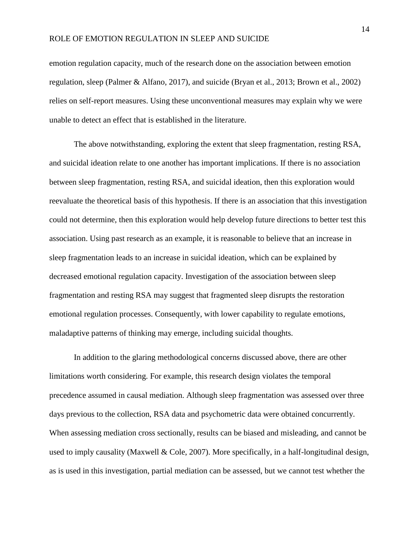emotion regulation capacity, much of the research done on the association between emotion regulation, sleep (Palmer & Alfano, 2017), and suicide (Bryan et al., 2013; Brown et al., 2002) relies on self-report measures. Using these unconventional measures may explain why we were unable to detect an effect that is established in the literature.

The above notwithstanding, exploring the extent that sleep fragmentation, resting RSA, and suicidal ideation relate to one another has important implications. If there is no association between sleep fragmentation, resting RSA, and suicidal ideation, then this exploration would reevaluate the theoretical basis of this hypothesis. If there is an association that this investigation could not determine, then this exploration would help develop future directions to better test this association. Using past research as an example, it is reasonable to believe that an increase in sleep fragmentation leads to an increase in suicidal ideation, which can be explained by decreased emotional regulation capacity. Investigation of the association between sleep fragmentation and resting RSA may suggest that fragmented sleep disrupts the restoration emotional regulation processes. Consequently, with lower capability to regulate emotions, maladaptive patterns of thinking may emerge, including suicidal thoughts.

In addition to the glaring methodological concerns discussed above, there are other limitations worth considering. For example, this research design violates the temporal precedence assumed in causal mediation. Although sleep fragmentation was assessed over three days previous to the collection, RSA data and psychometric data were obtained concurrently. When assessing mediation cross sectionally, results can be biased and misleading, and cannot be used to imply causality (Maxwell & Cole, 2007). More specifically, in a half-longitudinal design, as is used in this investigation, partial mediation can be assessed, but we cannot test whether the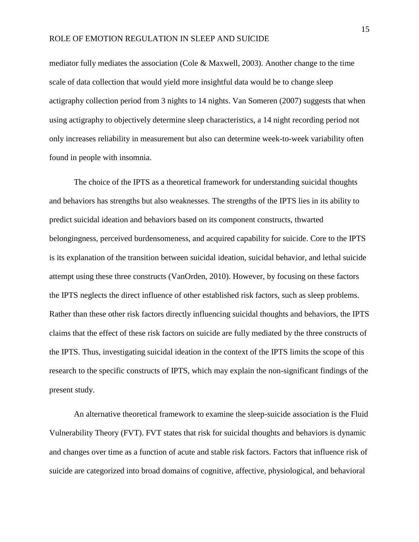mediator fully mediates the association (Cole & Maxwell, 2003). Another change to the time scale of data collection that would yield more insightful data would be to change sleep actigraphy collection period from 3 nights to 14 nights. Van Someren (2007) suggests that when using actigraphy to objectively determine sleep characteristics, a 14 night recording period not only increases reliability in measurement but also can determine week-to-week variability often found in people with insomnia.

The choice of the IPTS as a theoretical framework for understanding suicidal thoughts and behaviors has strengths but also weaknesses. The strengths of the IPTS lies in its ability to predict suicidal ideation and behaviors based on its component constructs, thwarted belongingness, perceived burdensomeness, and acquired capability for suicide. Core to the IPTS is its explanation of the transition between suicidal ideation, suicidal behavior, and lethal suicide attempt using these three constructs (VanOrden, 2010). However, by focusing on these factors the IPTS neglects the direct influence of other established risk factors, such as sleep problems. Rather than these other risk factors directly influencing suicidal thoughts and behaviors, the IPTS claims that the effect of these risk factors on suicide are fully mediated by the three constructs of the IPTS. Thus, investigating suicidal ideation in the context of the IPTS limits the scope of this research to the specific constructs of IPTS, which may explain the non-significant findings of the present study.

An alternative theoretical framework to examine the sleep-suicide association is the Fluid Vulnerability Theory (FVT). FVT states that risk for suicidal thoughts and behaviors is dynamic and changes over time as a function of acute and stable risk factors. Factors that influence risk of suicide are categorized into broad domains of cognitive, affective, physiological, and behavioral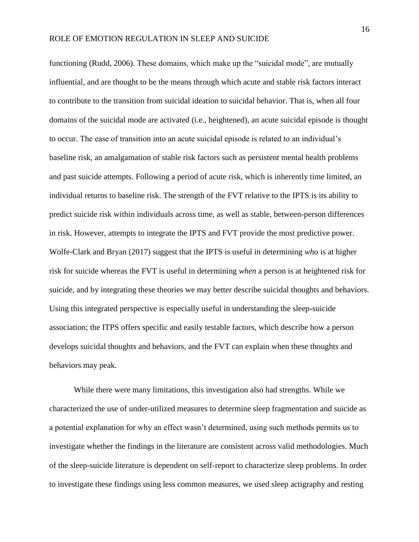functioning (Rudd, 2006). These domains, which make up the "suicidal mode", are mutually influential, and are thought to be the means through which acute and stable risk factors interact to contribute to the transition from suicidal ideation to suicidal behavior. That is, when all four domains of the suicidal mode are activated (i.e., heightened), an acute suicidal episode is thought to occur. The ease of transition into an acute suicidal episode is related to an individual's baseline risk, an amalgamation of stable risk factors such as persistent mental health problems and past suicide attempts. Following a period of acute risk, which is inherently time limited, an individual returns to baseline risk. The strength of the FVT relative to the IPTS is its ability to predict suicide risk within individuals across time, as well as stable, between-person differences in risk. However, attempts to integrate the IPTS and FVT provide the most predictive power. Wolfe-Clark and Bryan (2017) suggest that the IPTS is useful in determining *who* is at higher risk for suicide whereas the FVT is useful in determining *when* a person is at heightened risk for suicide, and by integrating these theories we may better describe suicidal thoughts and behaviors. Using this integrated perspective is especially useful in understanding the sleep-suicide association; the ITPS offers specific and easily testable factors, which describe how a person develops suicidal thoughts and behaviors, and the FVT can explain when these thoughts and behaviors may peak.

While there were many limitations, this investigation also had strengths. While we characterized the use of under-utilized measures to determine sleep fragmentation and suicide as a potential explanation for why an effect wasn't determined, using such methods permits us to investigate whether the findings in the literature are consistent across valid methodologies. Much of the sleep-suicide literature is dependent on self-report to characterize sleep problems. In order to investigate these findings using less common measures, we used sleep actigraphy and resting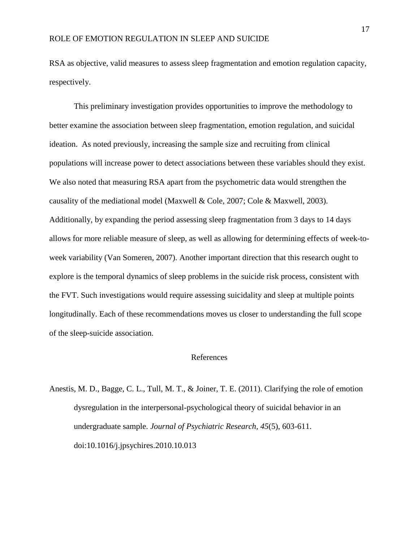RSA as objective, valid measures to assess sleep fragmentation and emotion regulation capacity, respectively.

This preliminary investigation provides opportunities to improve the methodology to better examine the association between sleep fragmentation, emotion regulation, and suicidal ideation. As noted previously, increasing the sample size and recruiting from clinical populations will increase power to detect associations between these variables should they exist. We also noted that measuring RSA apart from the psychometric data would strengthen the causality of the mediational model (Maxwell & Cole, 2007; Cole & Maxwell, 2003). Additionally, by expanding the period assessing sleep fragmentation from 3 days to 14 days allows for more reliable measure of sleep, as well as allowing for determining effects of week-toweek variability (Van Someren, 2007). Another important direction that this research ought to explore is the temporal dynamics of sleep problems in the suicide risk process, consistent with the FVT. Such investigations would require assessing suicidality and sleep at multiple points longitudinally. Each of these recommendations moves us closer to understanding the full scope of the sleep-suicide association.

### References

Anestis, M. D., Bagge, C. L., Tull, M. T., & Joiner, T. E. (2011). Clarifying the role of emotion dysregulation in the interpersonal-psychological theory of suicidal behavior in an undergraduate sample. *Journal of Psychiatric Research, 45*(5), 603-611. doi:10.1016/j.jpsychires.2010.10.013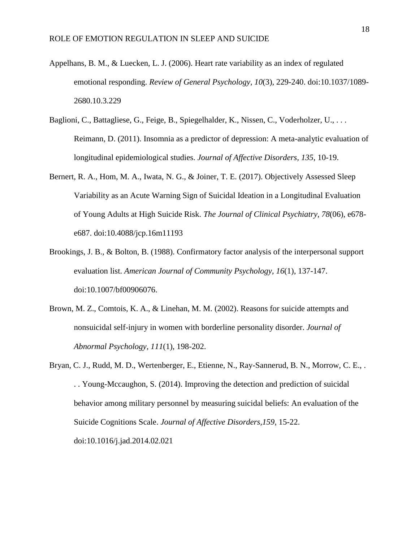- Appelhans, B. M., & Luecken, L. J. (2006). Heart rate variability as an index of regulated emotional responding. *Review of General Psychology, 10*(3), 229-240. doi:10.1037/1089- 2680.10.3.229
- Baglioni, C., Battagliese, G., Feige, B., Spiegelhalder, K., Nissen, C., Voderholzer, U., . . . Reimann, D. (2011). Insomnia as a predictor of depression: A meta-analytic evaluation of longitudinal epidemiological studies. *Journal of Affective Disorders, 135*, 10-19.
- Bernert, R. A., Hom, M. A., Iwata, N. G., & Joiner, T. E. (2017). Objectively Assessed Sleep Variability as an Acute Warning Sign of Suicidal Ideation in a Longitudinal Evaluation of Young Adults at High Suicide Risk. *The Journal of Clinical Psychiatry, 78*(06), e678 e687. doi:10.4088/jcp.16m11193
- Brookings, J. B., & Bolton, B. (1988). Confirmatory factor analysis of the interpersonal support evaluation list. *American Journal of Community Psychology, 16*(1), 137-147. doi:10.1007/bf00906076.
- Brown, M. Z., Comtois, K. A., & Linehan, M. M. (2002). Reasons for suicide attempts and nonsuicidal self-injury in women with borderline personality disorder. *Journal of Abnormal Psychology, 111*(1), 198-202.
- Bryan, C. J., Rudd, M. D., Wertenberger, E., Etienne, N., Ray-Sannerud, B. N., Morrow, C. E., . . . Young-Mccaughon, S. (2014). Improving the detection and prediction of suicidal behavior among military personnel by measuring suicidal beliefs: An evaluation of the Suicide Cognitions Scale. *Journal of Affective Disorders,159*, 15-22. doi:10.1016/j.jad.2014.02.021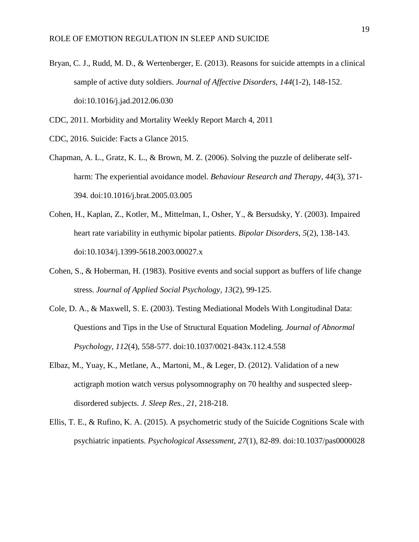Bryan, C. J., Rudd, M. D., & Wertenberger, E. (2013). Reasons for suicide attempts in a clinical sample of active duty soldiers. *Journal of Affective Disorders, 144*(1-2), 148-152. doi:10.1016/j.jad.2012.06.030

CDC, 2011. Morbidity and Mortality Weekly Report March 4, 2011

- CDC, 2016. Suicide: Facts a Glance 2015.
- Chapman, A. L., Gratz, K. L., & Brown, M. Z. (2006). Solving the puzzle of deliberate selfharm: The experiential avoidance model. *Behaviour Research and Therapy, 44*(3), 371- 394. doi:10.1016/j.brat.2005.03.005
- Cohen, H., Kaplan, Z., Kotler, M., Mittelman, I., Osher, Y., & Bersudsky, Y. (2003). Impaired heart rate variability in euthymic bipolar patients. *Bipolar Disorders, 5*(2), 138-143. doi:10.1034/j.1399-5618.2003.00027.x
- Cohen, S., & Hoberman, H. (1983). Positive events and social support as buffers of life change stress. *Journal of Applied Social Psychology, 13*(2), 99-125.
- Cole, D. A., & Maxwell, S. E. (2003). Testing Mediational Models With Longitudinal Data: Questions and Tips in the Use of Structural Equation Modeling. *Journal of Abnormal Psychology, 112*(4), 558-577. doi:10.1037/0021-843x.112.4.558
- Elbaz, M., Yuay, K., Metlane, A., Martoni, M., & Leger, D. (2012). Validation of a new actigraph motion watch versus polysomnography on 70 healthy and suspected sleepdisordered subjects. *J. Sleep Res., 21*, 218-218.
- Ellis, T. E., & Rufino, K. A. (2015). A psychometric study of the Suicide Cognitions Scale with psychiatric inpatients. *Psychological Assessment, 27*(1), 82-89. doi:10.1037/pas0000028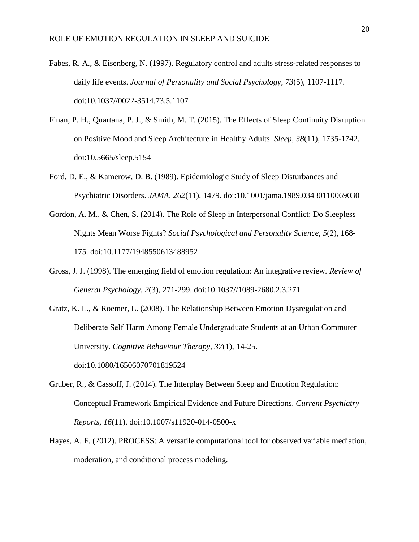- Fabes, R. A., & Eisenberg, N. (1997). Regulatory control and adults stress-related responses to daily life events. *Journal of Personality and Social Psychology, 73*(5), 1107-1117. doi:10.1037//0022-3514.73.5.1107
- Finan, P. H., Quartana, P. J., & Smith, M. T. (2015). The Effects of Sleep Continuity Disruption on Positive Mood and Sleep Architecture in Healthy Adults. *Sleep, 38*(11), 1735-1742. doi:10.5665/sleep.5154
- Ford, D. E., & Kamerow, D. B. (1989). Epidemiologic Study of Sleep Disturbances and Psychiatric Disorders. *JAMA, 262*(11), 1479. doi:10.1001/jama.1989.03430110069030
- Gordon, A. M., & Chen, S. (2014). The Role of Sleep in Interpersonal Conflict: Do Sleepless Nights Mean Worse Fights? *Social Psychological and Personality Science, 5*(2), 168- 175. doi:10.1177/1948550613488952
- Gross, J. J. (1998). The emerging field of emotion regulation: An integrative review. *Review of General Psychology, 2*(3), 271-299. doi:10.1037//1089-2680.2.3.271

Gratz, K. L., & Roemer, L. (2008). The Relationship Between Emotion Dysregulation and Deliberate Self‐Harm Among Female Undergraduate Students at an Urban Commuter University. *Cognitive Behaviour Therapy, 37*(1), 14-25. doi:10.1080/16506070701819524

- Gruber, R., & Cassoff, J. (2014). The Interplay Between Sleep and Emotion Regulation: Conceptual Framework Empirical Evidence and Future Directions. *Current Psychiatry Reports, 16*(11). doi:10.1007/s11920-014-0500-x
- Hayes, A. F. (2012). PROCESS: A versatile computational tool for observed variable mediation, moderation, and conditional process modeling.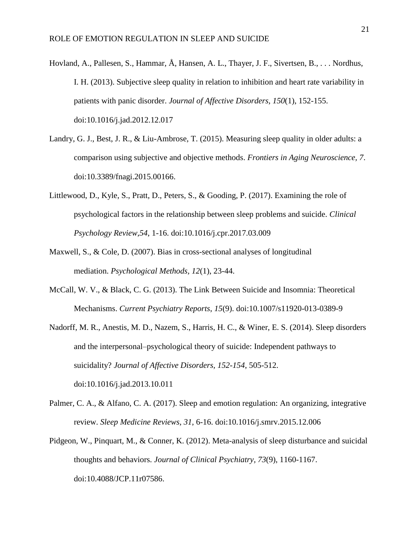- Hovland, A., Pallesen, S., Hammar, Å, Hansen, A. L., Thayer, J. F., Sivertsen, B., . . . Nordhus, I. H. (2013). Subjective sleep quality in relation to inhibition and heart rate variability in patients with panic disorder. *Journal of Affective Disorders, 150*(1), 152-155. doi:10.1016/j.jad.2012.12.017
- Landry, G. J., Best, J. R., & Liu-Ambrose, T. (2015). Measuring sleep quality in older adults: a comparison using subjective and objective methods. *Frontiers in Aging Neuroscience, 7*. doi:10.3389/fnagi.2015.00166.
- Littlewood, D., Kyle, S., Pratt, D., Peters, S., & Gooding, P. (2017). Examining the role of psychological factors in the relationship between sleep problems and suicide. *Clinical Psychology Review,54*, 1-16. doi:10.1016/j.cpr.2017.03.009
- Maxwell, S., & Cole, D. (2007). Bias in cross-sectional analyses of longitudinal mediation. *Psychological Methods, 12*(1), 23-44.
- McCall, W. V., & Black, C. G. (2013). The Link Between Suicide and Insomnia: Theoretical Mechanisms. *Current Psychiatry Reports*, *15*(9). doi:10.1007/s11920-013-0389-9
- Nadorff, M. R., Anestis, M. D., Nazem, S., Harris, H. C., & Winer, E. S. (2014). Sleep disorders and the interpersonal–psychological theory of suicide: Independent pathways to suicidality? *Journal of Affective Disorders, 152-154*, 505-512. doi:10.1016/j.jad.2013.10.011
- Palmer, C. A., & Alfano, C. A. (2017). Sleep and emotion regulation: An organizing, integrative review. *Sleep Medicine Reviews, 31*, 6-16. doi:10.1016/j.smrv.2015.12.006
- Pidgeon, W., Pinquart, M., & Conner, K. (2012). Meta-analysis of sleep disturbance and suicidal thoughts and behaviors. *Journal of Clinical Psychiatry, 73*(9), 1160-1167. doi:10.4088/JCP.11r07586.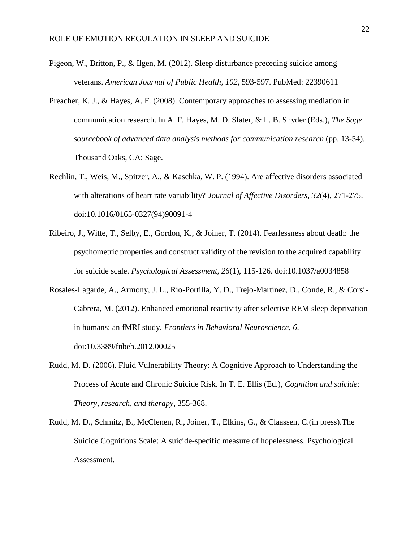- Pigeon, W., Britton, P., & Ilgen, M. (2012). Sleep disturbance preceding suicide among veterans. *American Journal of Public Health, 102*, 593-597. PubMed: 22390611
- Preacher, K. J., & Hayes, A. F. (2008). Contemporary approaches to assessing mediation in communication research. In A. F. Hayes, M. D. Slater, & L. B. Snyder (Eds.), *The Sage sourcebook of advanced data analysis methods for communication research* (pp. 13-54). Thousand Oaks, CA: Sage.
- Rechlin, T., Weis, M., Spitzer, A., & Kaschka, W. P. (1994). Are affective disorders associated with alterations of heart rate variability? *Journal of Affective Disorders, 32*(4), 271-275. doi:10.1016/0165-0327(94)90091-4
- Ribeiro, J., Witte, T., Selby, E., Gordon, K., & Joiner, T. (2014). Fearlessness about death: the psychometric properties and construct validity of the revision to the acquired capability for suicide scale. *Psychological Assessment, 26*(1), 115-126. doi:10.1037/a0034858
- Rosales-Lagarde, A., Armony, J. L., Río-Portilla, Y. D., Trejo-Martínez, D., Conde, R., & Corsi-Cabrera, M. (2012). Enhanced emotional reactivity after selective REM sleep deprivation in humans: an fMRI study. *Frontiers in Behavioral Neuroscience, 6*. doi:10.3389/fnbeh.2012.00025
- Rudd, M. D. (2006). Fluid Vulnerability Theory: A Cognitive Approach to Understanding the Process of Acute and Chronic Suicide Risk. In T. E. Ellis (Ed.), *Cognition and suicide: Theory, research, and therapy*, 355-368.
- Rudd, M. D., Schmitz, B., McClenen, R., Joiner, T., Elkins, G., & Claassen, C.(in press).The Suicide Cognitions Scale: A suicide-specific measure of hopelessness. Psychological Assessment.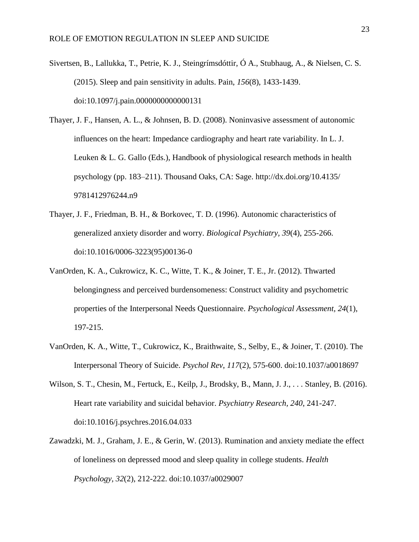- Sivertsen, B., Lallukka, T., Petrie, K. J., Steingrímsdóttir, Ó A., Stubhaug, A., & Nielsen, C. S. (2015). Sleep and pain sensitivity in adults. Pain, *156*(8), 1433-1439. doi:10.1097/j.pain.0000000000000131
- Thayer, J. F., Hansen, A. L., & Johnsen, B. D. (2008). Noninvasive assessment of autonomic influences on the heart: Impedance cardiography and heart rate variability. In L. J. Leuken & L. G. Gallo (Eds.), Handbook of physiological research methods in health psychology (pp. 183–211). Thousand Oaks, CA: Sage. http://dx.doi.org/10.4135/ 9781412976244.n9
- Thayer, J. F., Friedman, B. H., & Borkovec, T. D. (1996). Autonomic characteristics of generalized anxiety disorder and worry. *Biological Psychiatry, 39*(4), 255-266. doi:10.1016/0006-3223(95)00136-0
- VanOrden, K. A., Cukrowicz, K. C., Witte, T. K., & Joiner, T. E., Jr. (2012). Thwarted belongingness and perceived burdensomeness: Construct validity and psychometric properties of the Interpersonal Needs Questionnaire. *Psychological Assessment, 24*(1), 197-215.
- VanOrden, K. A., Witte, T., Cukrowicz, K., Braithwaite, S., Selby, E., & Joiner, T. (2010). The Interpersonal Theory of Suicide. *Psychol Rev*, *117*(2), 575-600. doi:10.1037/a0018697
- Wilson, S. T., Chesin, M., Fertuck, E., Keilp, J., Brodsky, B., Mann, J. J., . . . Stanley, B. (2016). Heart rate variability and suicidal behavior. *Psychiatry Research, 240*, 241-247. doi:10.1016/j.psychres.2016.04.033
- Zawadzki, M. J., Graham, J. E., & Gerin, W. (2013). Rumination and anxiety mediate the effect of loneliness on depressed mood and sleep quality in college students. *Health Psychology, 32*(2), 212-222. doi:10.1037/a0029007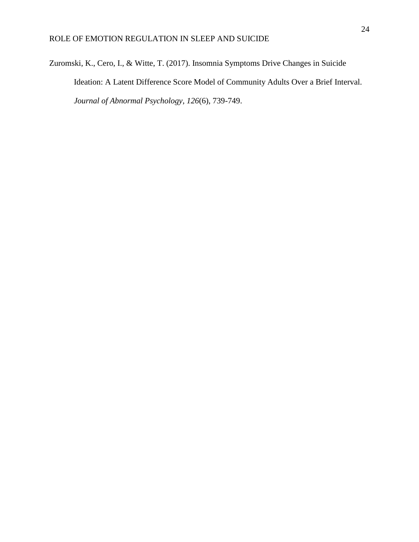Zuromski, K., Cero, I., & Witte, T. (2017). Insomnia Symptoms Drive Changes in Suicide Ideation: A Latent Difference Score Model of Community Adults Over a Brief Interval. *Journal of Abnormal Psychology*, *126*(6), 739-749.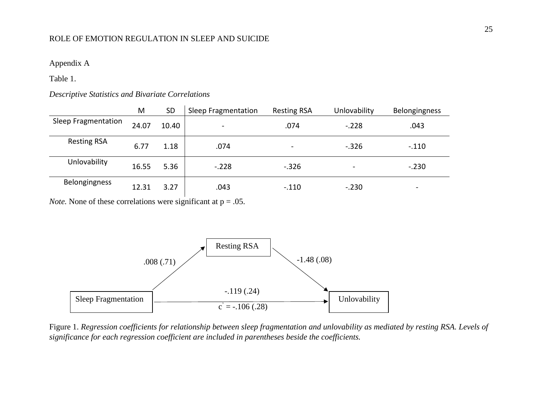## Appendix A

Table 1.

## *Descriptive Statistics and Bivariate Correlations*

|                     | M     | <b>SD</b> | Sleep Fragmentation      | <b>Resting RSA</b>       | Unlovability | <b>Belongingness</b>     |
|---------------------|-------|-----------|--------------------------|--------------------------|--------------|--------------------------|
| Sleep Fragmentation | 24.07 | 10.40     | $\overline{\phantom{a}}$ | .074                     | $-.228$      | .043                     |
| <b>Resting RSA</b>  | 6.77  | 1.18      | .074                     | $\overline{\phantom{a}}$ | $-.326$      | $-.110$                  |
| Unlovability        | 16.55 | 5.36      | $-.228$                  | $-.326$                  |              | $-.230$                  |
| Belongingness       | 12.31 | 3.27      | .043                     | $-.110$                  | $-.230$      | $\overline{\phantom{0}}$ |

*Note.* None of these correlations were significant at  $p = .05$ .



Figure 1. *Regression coefficients for relationship between sleep fragmentation and unlovability as mediated by resting RSA. Levels of significance for each regression coefficient are included in parentheses beside the coefficients.*